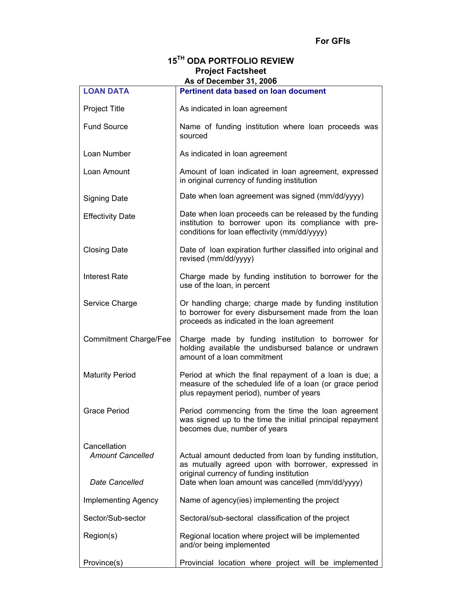# **15TH ODA PORTFOLIO REVIEW Project Factsheet As of December 31, 2006**

| <b>LOAN DATA</b>                        | AS OF DECEMBER 31, 2000<br>Pertinent data based on loan document                                                                                                |
|-----------------------------------------|-----------------------------------------------------------------------------------------------------------------------------------------------------------------|
| Project Title                           | As indicated in loan agreement                                                                                                                                  |
|                                         |                                                                                                                                                                 |
| <b>Fund Source</b>                      | Name of funding institution where loan proceeds was<br>sourced                                                                                                  |
| Loan Number                             | As indicated in loan agreement                                                                                                                                  |
| Loan Amount                             | Amount of loan indicated in loan agreement, expressed<br>in original currency of funding institution                                                            |
| <b>Signing Date</b>                     | Date when loan agreement was signed (mm/dd/yyyy)                                                                                                                |
| <b>Effectivity Date</b>                 | Date when loan proceeds can be released by the funding<br>institution to borrower upon its compliance with pre-<br>conditions for loan effectivity (mm/dd/yyyy) |
| <b>Closing Date</b>                     | Date of loan expiration further classified into original and<br>revised (mm/dd/yyyy)                                                                            |
| Interest Rate                           | Charge made by funding institution to borrower for the<br>use of the loan, in percent                                                                           |
| Service Charge                          | Or handling charge; charge made by funding institution<br>to borrower for every disbursement made from the loan<br>proceeds as indicated in the loan agreement  |
| <b>Commitment Charge/Fee</b>            | Charge made by funding institution to borrower for<br>holding available the undisbursed balance or undrawn<br>amount of a loan commitment                       |
| <b>Maturity Period</b>                  | Period at which the final repayment of a loan is due; a<br>measure of the scheduled life of a loan (or grace period<br>plus repayment period), number of years  |
| <b>Grace Period</b>                     | Period commencing from the time the loan agreement<br>was signed up to the time the initial principal repayment<br>becomes due, number of years                 |
| Cancellation<br><b>Amount Cancelled</b> | Actual amount deducted from loan by funding institution,                                                                                                        |
| Date Cancelled                          | as mutually agreed upon with borrower, expressed in<br>original currency of funding institution<br>Date when loan amount was cancelled (mm/dd/yyyy)             |
| <b>Implementing Agency</b>              | Name of agency(ies) implementing the project                                                                                                                    |
| Sector/Sub-sector                       | Sectoral/sub-sectoral classification of the project                                                                                                             |
|                                         |                                                                                                                                                                 |
| Region(s)                               | Regional location where project will be implemented<br>and/or being implemented                                                                                 |
| Province(s)                             | Provincial location where project will be implemented                                                                                                           |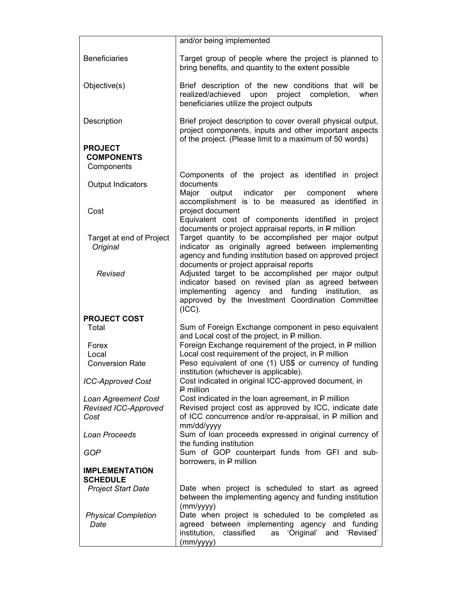|                                                   | and/or being implemented                                                                                                                                                                                                                                                 |
|---------------------------------------------------|--------------------------------------------------------------------------------------------------------------------------------------------------------------------------------------------------------------------------------------------------------------------------|
| <b>Beneficiaries</b>                              | Target group of people where the project is planned to<br>bring benefits, and quantity to the extent possible                                                                                                                                                            |
| Objective(s)                                      | Brief description of the new conditions that will be<br>realized/achieved<br>project completion,<br>upon<br>when<br>beneficiaries utilize the project outputs                                                                                                            |
| Description                                       | Brief project description to cover overall physical output,<br>project components, inputs and other important aspects<br>of the project. (Please limit to a maximum of 50 words)                                                                                         |
| <b>PROJECT</b><br><b>COMPONENTS</b><br>Components |                                                                                                                                                                                                                                                                          |
| Output Indicators                                 | Components of the project as identified in project<br>documents<br>Major<br>output<br>indicator<br>per<br>component<br>where<br>accomplishment is to be measured as identified in                                                                                        |
| Cost                                              | project document<br>Equivalent cost of components identified in project                                                                                                                                                                                                  |
| Target at end of Project<br>Original              | documents or project appraisal reports, in P million<br>Target quantity to be accomplished per major output<br>indicator as originally agreed between implementing<br>agency and funding institution based on approved project<br>documents or project appraisal reports |
| Revised                                           | Adjusted target to be accomplished per major output<br>indicator based on revised plan as agreed between<br>implementing agency and funding<br>institution,<br>as<br>approved by the Investment Coordination Committee<br>(ICC).                                         |
| <b>PROJECT COST</b>                               |                                                                                                                                                                                                                                                                          |
| Total                                             | Sum of Foreign Exchange component in peso equivalent<br>and Local cost of the project, in P million.                                                                                                                                                                     |
| Forex                                             | Foreign Exchange requirement of the project, in P million                                                                                                                                                                                                                |
| Local                                             | Local cost requirement of the project, in P million<br>Peso equivalent of one (1) US\$ or currency of funding                                                                                                                                                            |
| <b>Conversion Rate</b>                            | institution (whichever is applicable).                                                                                                                                                                                                                                   |
| <b>ICC-Approved Cost</b>                          | Cost indicated in original ICC-approved document, in<br>P million                                                                                                                                                                                                        |
| Loan Agreement Cost                               | Cost indicated in the loan agreement, in P million                                                                                                                                                                                                                       |
| Revised ICC-Approved                              | Revised project cost as approved by ICC, indicate date<br>of ICC concurrence and/or re-appraisal, in P million and                                                                                                                                                       |
| Cost                                              | mm/dd/yyyy                                                                                                                                                                                                                                                               |
| Loan Proceeds                                     | Sum of loan proceeds expressed in original currency of<br>the funding institution                                                                                                                                                                                        |
| GOP                                               | Sum of GOP counterpart funds from GFI and sub-<br>borrowers, in P million                                                                                                                                                                                                |
| <b>IMPLEMENTATION</b><br><b>SCHEDULE</b>          |                                                                                                                                                                                                                                                                          |
| <b>Project Start Date</b>                         | Date when project is scheduled to start as agreed<br>between the implementing agency and funding institution                                                                                                                                                             |
| <b>Physical Completion</b><br>Date                | (mm/yyyy)<br>Date when project is scheduled to be completed as<br>agreed between implementing agency and funding<br>institution,<br>classified<br>as 'Original' and 'Revised'<br>(mm/yyyy)                                                                               |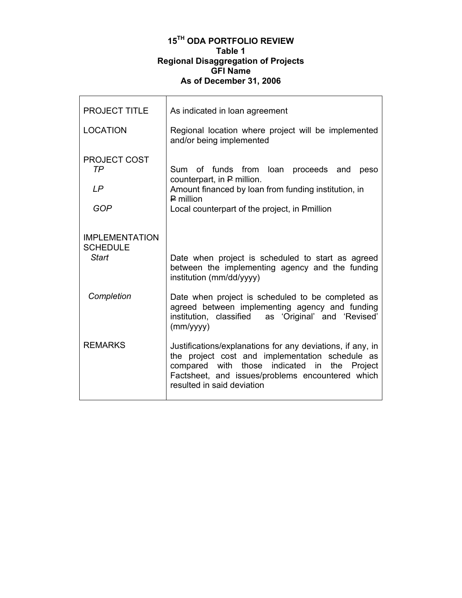### **15TH ODA PORTFOLIO REVIEW Table 1 Regional Disaggregation of Projects GFI Name As of December 31, 2006**

 $\mathsf{r}$ 

| <b>PROJECT TITLE</b>                              | As indicated in loan agreement                                                                                                                                                                                                                  |
|---------------------------------------------------|-------------------------------------------------------------------------------------------------------------------------------------------------------------------------------------------------------------------------------------------------|
| <b>LOCATION</b>                                   | Regional location where project will be implemented<br>and/or being implemented                                                                                                                                                                 |
| <b>PROJECT COST</b><br>TP<br>LP<br><b>GOP</b>     | Sum of funds from loan proceeds and<br>peso<br>counterpart, in P million.<br>Amount financed by loan from funding institution, in<br>$P$ million<br>Local counterpart of the project, in Pmillion                                               |
| <b>IMPLEMENTATION</b><br><b>SCHEDULE</b><br>Start | Date when project is scheduled to start as agreed<br>between the implementing agency and the funding<br>institution (mm/dd/yyyy)                                                                                                                |
| Completion                                        | Date when project is scheduled to be completed as<br>agreed between implementing agency and funding<br>institution, classified<br>as 'Original' and 'Revised'<br>(mm/yyy)                                                                       |
| <b>REMARKS</b>                                    | Justifications/explanations for any deviations, if any, in<br>the project cost and implementation schedule as<br>compared with those indicated in the Project<br>Factsheet, and issues/problems encountered which<br>resulted in said deviation |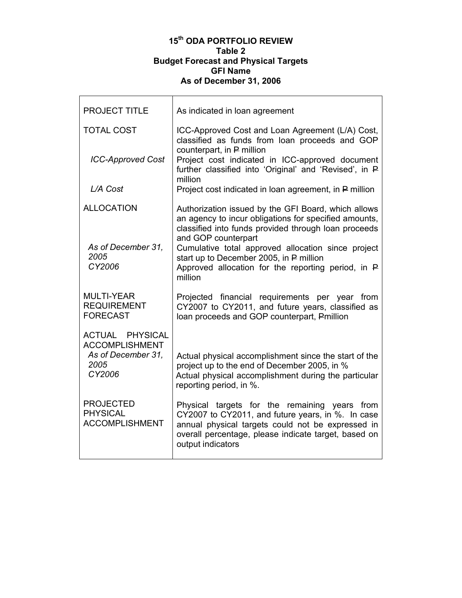#### **15th ODA PORTFOLIO REVIEW Table 2 Budget Forecast and Physical Targets GFI Name As of December 31, 2006**

| <b>PROJECT TITLE</b>                                         | As indicated in loan agreement                                                                                                                                                                                                       |
|--------------------------------------------------------------|--------------------------------------------------------------------------------------------------------------------------------------------------------------------------------------------------------------------------------------|
| <b>TOTAL COST</b>                                            | ICC-Approved Cost and Loan Agreement (L/A) Cost,<br>classified as funds from loan proceeds and GOP<br>counterpart, in P million                                                                                                      |
| <b>ICC-Approved Cost</b>                                     | Project cost indicated in ICC-approved document<br>further classified into 'Original' and 'Revised', in P<br>million                                                                                                                 |
| L/A Cost                                                     | Project cost indicated in loan agreement, in P million                                                                                                                                                                               |
| <b>ALLOCATION</b>                                            | Authorization issued by the GFI Board, which allows<br>an agency to incur obligations for specified amounts,<br>classified into funds provided through loan proceeds<br>and GOP counterpart                                          |
| As of December 31,<br>2005<br>CY2006                         | Cumulative total approved allocation since project<br>start up to December 2005, in P million<br>Approved allocation for the reporting period, in $\mathsf{P}$<br>million                                                            |
| <b>MULTI-YEAR</b><br><b>REQUIREMENT</b><br><b>FORECAST</b>   | Projected financial requirements per year from<br>CY2007 to CY2011, and future years, classified as<br>loan proceeds and GOP counterpart, Pmillion                                                                                   |
| <b>ACTUAL PHYSICAL</b><br><b>ACCOMPLISHMENT</b>              |                                                                                                                                                                                                                                      |
| As of December 31,<br>2005<br>CY2006                         | Actual physical accomplishment since the start of the<br>project up to the end of December 2005, in %<br>Actual physical accomplishment during the particular<br>reporting period, in %.                                             |
| <b>PROJECTED</b><br><b>PHYSICAL</b><br><b>ACCOMPLISHMENT</b> | Physical targets for the remaining years from<br>CY2007 to CY2011, and future years, in %. In case<br>annual physical targets could not be expressed in<br>overall percentage, please indicate target, based on<br>output indicators |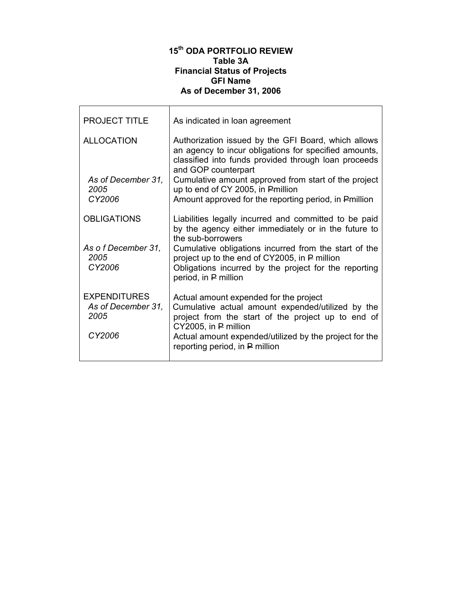## **15th ODA PORTFOLIO REVIEW Table 3A Financial Status of Projects GFI Name As of December 31, 2006**

| <b>PROJECT TITLE</b>                                        | As indicated in loan agreement                                                                                                                                                                                                                                        |
|-------------------------------------------------------------|-----------------------------------------------------------------------------------------------------------------------------------------------------------------------------------------------------------------------------------------------------------------------|
| <b>ALLOCATION</b>                                           | Authorization issued by the GFI Board, which allows<br>an agency to incur obligations for specified amounts,<br>classified into funds provided through loan proceeds<br>and GOP counterpart                                                                           |
| As of December 31,<br>2005<br>CY2006                        | Cumulative amount approved from start of the project<br>up to end of CY 2005, in Pmillion<br>Amount approved for the reporting period, in Pmillion                                                                                                                    |
| <b>OBLIGATIONS</b>                                          | Liabilities legally incurred and committed to be paid<br>by the agency either immediately or in the future to<br>the sub-borrowers                                                                                                                                    |
| As of December 31,<br>2005<br>CY2006                        | Cumulative obligations incurred from the start of the<br>project up to the end of CY2005, in P million<br>Obligations incurred by the project for the reporting<br>period, in P million                                                                               |
| <b>EXPENDITURES</b><br>As of December 31,<br>2005<br>CY2006 | Actual amount expended for the project<br>Cumulative actual amount expended/utilized by the<br>project from the start of the project up to end of<br>CY2005, in P million<br>Actual amount expended/utilized by the project for the<br>reporting period, in P million |
|                                                             |                                                                                                                                                                                                                                                                       |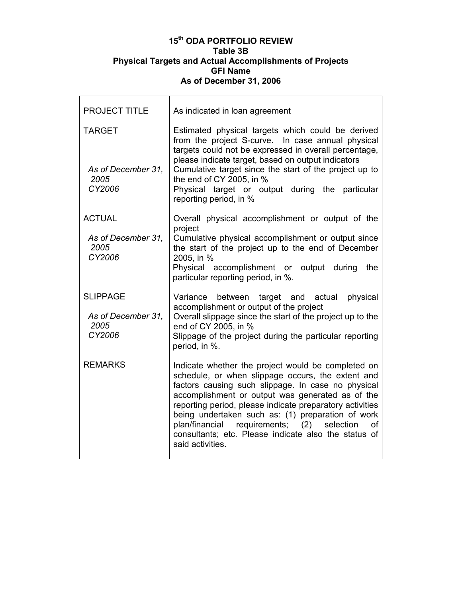#### **15th ODA PORTFOLIO REVIEW Table 3B Physical Targets and Actual Accomplishments of Projects GFI Name As of December 31, 2006**

| <b>PROJECT TITLE</b>                                    | As indicated in loan agreement                                                                                                                                                                                                                                                                                                                                                                                                                                              |
|---------------------------------------------------------|-----------------------------------------------------------------------------------------------------------------------------------------------------------------------------------------------------------------------------------------------------------------------------------------------------------------------------------------------------------------------------------------------------------------------------------------------------------------------------|
| <b>TARGET</b><br>As of December 31,<br>2005<br>CY2006   | Estimated physical targets which could be derived<br>from the project S-curve. In case annual physical<br>targets could not be expressed in overall percentage,<br>please indicate target, based on output indicators<br>Cumulative target since the start of the project up to<br>the end of CY 2005, in %<br>Physical target or output during the particular<br>reporting period, in %                                                                                    |
| <b>ACTUAL</b><br>As of December 31,<br>2005<br>CY2006   | Overall physical accomplishment or output of the<br>project<br>Cumulative physical accomplishment or output since<br>the start of the project up to the end of December<br>2005, in %<br>Physical accomplishment or output during<br>the<br>particular reporting period, in %.                                                                                                                                                                                              |
| <b>SLIPPAGE</b><br>As of December 31,<br>2005<br>CY2006 | target and actual<br>Variance<br>between<br>physical<br>accomplishment or output of the project<br>Overall slippage since the start of the project up to the<br>end of CY 2005, in %<br>Slippage of the project during the particular reporting<br>period, in %.                                                                                                                                                                                                            |
| <b>REMARKS</b>                                          | Indicate whether the project would be completed on<br>schedule, or when slippage occurs, the extent and<br>factors causing such slippage. In case no physical<br>accomplishment or output was generated as of the<br>reporting period, please indicate preparatory activities<br>being undertaken such as: (1) preparation of work<br>requirements;<br>(2)<br>plan/financial<br>selection<br>οf<br>consultants; etc. Please indicate also the status of<br>said activities. |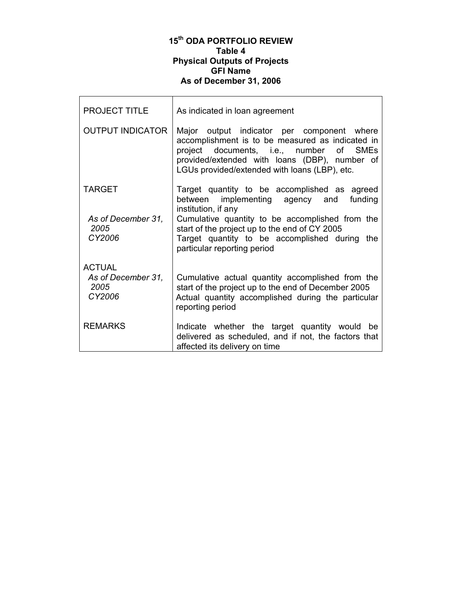#### **15th ODA PORTFOLIO REVIEW Table 4 Physical Outputs of Projects GFI Name As of December 31, 2006**

| <b>PROJECT TITLE</b>                 | As indicated in loan agreement                                                                                                                                                                                                              |
|--------------------------------------|---------------------------------------------------------------------------------------------------------------------------------------------------------------------------------------------------------------------------------------------|
| <b>OUTPUT INDICATOR</b>              | Major output indicator per component where<br>accomplishment is to be measured as indicated in<br>project documents, i.e., number of SMEs<br>provided/extended with loans (DBP), number of<br>LGUs provided/extended with loans (LBP), etc. |
| <b>TARGET</b>                        | Target quantity to be accomplished as agreed<br>between implementing agency and funding<br>institution, if any                                                                                                                              |
| As of December 31,<br>2005<br>CY2006 | Cumulative quantity to be accomplished from the<br>start of the project up to the end of CY 2005<br>Target quantity to be accomplished during the<br>particular reporting period                                                            |
| <b>ACTUAL</b>                        |                                                                                                                                                                                                                                             |
| As of December 31,<br>2005<br>CY2006 | Cumulative actual quantity accomplished from the<br>start of the project up to the end of December 2005<br>Actual quantity accomplished during the particular<br>reporting period                                                           |
| <b>REMARKS</b>                       | Indicate whether the target quantity would be<br>delivered as scheduled, and if not, the factors that<br>affected its delivery on time                                                                                                      |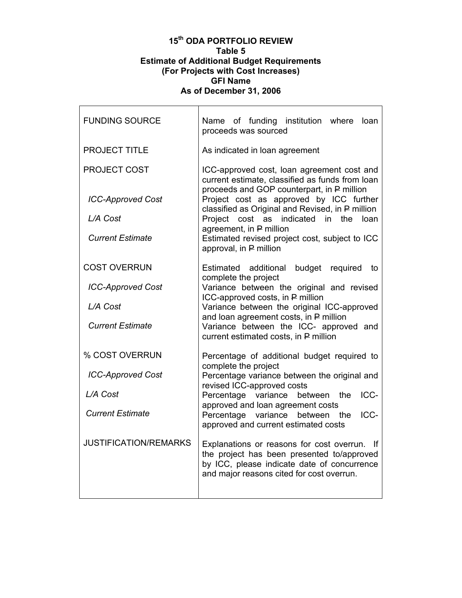#### **15th ODA PORTFOLIO REVIEW Table 5 Estimate of Additional Budget Requirements (For Projects with Cost Increases) GFI Name As of December 31, 2006**

| <b>FUNDING SOURCE</b>        | Name of funding institution where<br>loan<br>proceeds was sourced                                                                                                                          |
|------------------------------|--------------------------------------------------------------------------------------------------------------------------------------------------------------------------------------------|
| <b>PROJECT TITLE</b>         | As indicated in loan agreement                                                                                                                                                             |
| <b>PROJECT COST</b>          | ICC-approved cost, loan agreement cost and<br>current estimate, classified as funds from loan<br>proceeds and GOP counterpart, in P million                                                |
| <b>ICC-Approved Cost</b>     | Project cost as approved by ICC further<br>classified as Original and Revised, in P million                                                                                                |
| L/A Cost                     | indicated in the<br>Project<br>cost as<br>loan                                                                                                                                             |
| <b>Current Estimate</b>      | agreement, in P million<br>Estimated revised project cost, subject to ICC<br>approval, in P million                                                                                        |
| <b>COST OVERRUN</b>          | budget<br>required<br>Estimated additional<br>to<br>complete the project                                                                                                                   |
| <b>ICC-Approved Cost</b>     | Variance between the original and revised<br>ICC-approved costs, in P million                                                                                                              |
| L/A Cost                     | Variance between the original ICC-approved                                                                                                                                                 |
| <b>Current Estimate</b>      | and loan agreement costs, in P million<br>Variance between the ICC- approved and<br>current estimated costs, in P million                                                                  |
| % COST OVERRUN               | Percentage of additional budget required to<br>complete the project                                                                                                                        |
| <b>ICC-Approved Cost</b>     | Percentage variance between the original and<br>revised ICC-approved costs                                                                                                                 |
| L/A Cost                     | ICC-<br>Percentage variance<br>the<br>between                                                                                                                                              |
| <b>Current Estimate</b>      | approved and loan agreement costs<br>Percentage variance<br>ICC-<br>between<br>the<br>approved and current estimated costs                                                                 |
| <b>JUSTIFICATION/REMARKS</b> | Explanations or reasons for cost overrun.<br>-lf<br>the project has been presented to/approved<br>by ICC, please indicate date of concurrence<br>and major reasons cited for cost overrun. |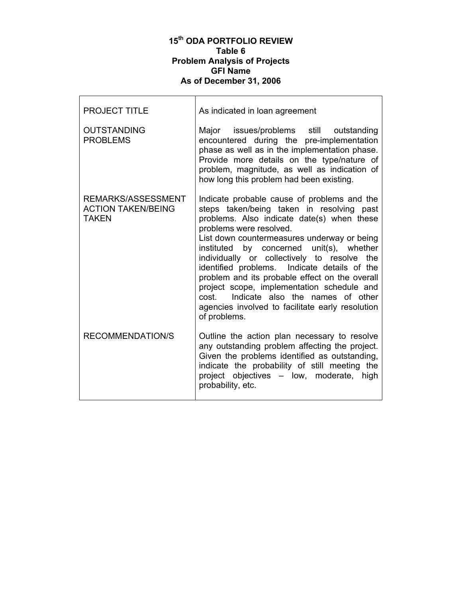## **15th ODA PORTFOLIO REVIEW Table 6 Problem Analysis of Projects GFI Name As of December 31, 2006**

г

| <b>PROJECT TITLE</b>                                            | As indicated in loan agreement                                                                                                                                                                                                                                                                                                                                                                                                                                                                                                                                               |
|-----------------------------------------------------------------|------------------------------------------------------------------------------------------------------------------------------------------------------------------------------------------------------------------------------------------------------------------------------------------------------------------------------------------------------------------------------------------------------------------------------------------------------------------------------------------------------------------------------------------------------------------------------|
| <b>OUTSTANDING</b><br><b>PROBLEMS</b>                           | Major issues/problems still outstanding<br>encountered during the pre-implementation<br>phase as well as in the implementation phase.<br>Provide more details on the type/nature of<br>problem, magnitude, as well as indication of<br>how long this problem had been existing.                                                                                                                                                                                                                                                                                              |
| REMARKS/ASSESSMENT<br><b>ACTION TAKEN/BEING</b><br><b>TAKEN</b> | Indicate probable cause of problems and the<br>steps taken/being taken in resolving past<br>problems. Also indicate date(s) when these<br>problems were resolved.<br>List down countermeasures underway or being<br>instituted by concerned unit(s), whether<br>individually or collectively to resolve the<br>identified problems. Indicate details of the<br>problem and its probable effect on the overall<br>project scope, implementation schedule and<br>Indicate also the names of other<br>cost.<br>agencies involved to facilitate early resolution<br>of problems. |
| <b>RECOMMENDATION/S</b>                                         | Outline the action plan necessary to resolve<br>any outstanding problem affecting the project.<br>Given the problems identified as outstanding,<br>indicate the probability of still meeting the<br>project objectives - low, moderate, high<br>probability, etc.                                                                                                                                                                                                                                                                                                            |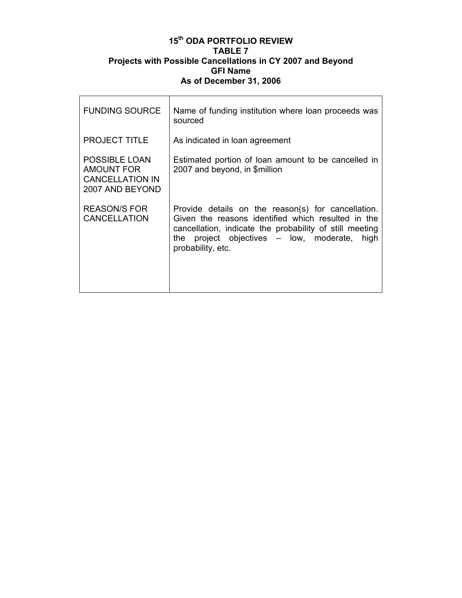### **15th ODA PORTFOLIO REVIEW TABLE 7 Projects with Possible Cancellations in CY 2007 and Beyond GFI Name As of December 31, 2006**

 $\mathsf{r}$ 

| <b>FUNDING SOURCE</b>                                                                  | Name of funding institution where loan proceeds was<br>sourced                                                                                                                                                                                |
|----------------------------------------------------------------------------------------|-----------------------------------------------------------------------------------------------------------------------------------------------------------------------------------------------------------------------------------------------|
| <b>PROJECT TITLE</b>                                                                   | As indicated in loan agreement                                                                                                                                                                                                                |
| <b>POSSIBLE LOAN</b><br><b>AMOUNT FOR</b><br><b>CANCELLATION IN</b><br>2007 AND BEYOND | Estimated portion of loan amount to be cancelled in<br>2007 and beyond, in \$million                                                                                                                                                          |
| <b>REASON/S FOR</b><br><b>CANCELLATION</b>                                             | Provide details on the reason(s) for cancellation.<br>Given the reasons identified which resulted in the<br>cancellation, indicate the probability of still meeting<br>the project objectives $-$ low, moderate,<br>high<br>probability, etc. |